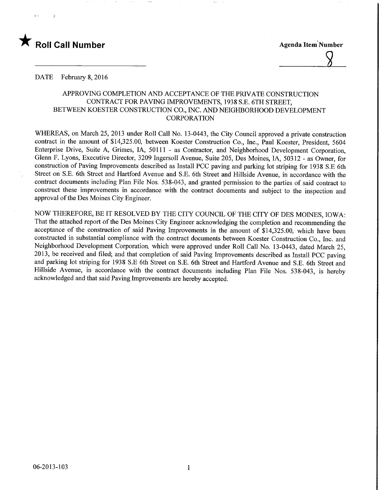

DATE February 8, 2016

# APPROVING COMPLETION AND ACCEPTANCE OF THE PRIVATE CONSTRUCTION CONTRACT FOR PAVING IMPROVEMENTS, 1938 S.E. 6TH STREET, BETWEEN KOESTER CONSTRUCTION CO, INC. AND NEIGHBORHOOD DEVELOPMENT CORPORATION

WHEREAS, on March 25, 2013 under Roll Call No. 13-0443, the City Council approved a private construction contract in the amount of \$14,325.00, between Koester Construction Co., Inc., Paul Koester, President, 5604 Enterprise Drive, Suite A, Grimes, IA, 50111 - as Contractor, and Neighborhood Development Corporation, Glenn F. Lyons, Executive Director, 3209 Ingersoll Avenue, Suite 205, Des Moines, IA, 50312 - as Owner, for construction of Paving Improvements described as Install PCC paving and parking lot striping for 1938 S.E 6th Street on S.E. 6th Street and Hartford Avenue and S.E. 6th Street and Hillside Avenue, in accordance with the contract documents including Plan File Nos. 538-043, and granted permission to the parties of said contract to construct these improvements in accordance with the contract documents and subject to the inspection and approval of the Des Moines City Engineer.

NOW THEREFORE, BE IT RESOLVED BY THE CITY COUNCIL OF THE CITY OF DES MOINES, IOWA: That the attached report of the Des Moines City Engineer acknowledging the completion and recommending the acceptance of the construction of said Paving Improvements in the amount of \$14,325.00, which have been constructed in substantial compliance with the contract documents between Koester Construction Co., Inc. and Neighborhood Development Corporation, which were approved under Roll Call No. 13-0443, dated March 25, 2013, be received and filed; and that completion of said Paving Improvements described as Install PCC paving and parking lot striping for 1938 S.E 6th Street on S.E. 6th Street and Hartford Avenue and S.E. 6th Street and Hillside Avenue, in accordance with the contract documents including Plan File Nos. 538-043, is hereby acknowledged and that said Paving Improvements are hereby accepted.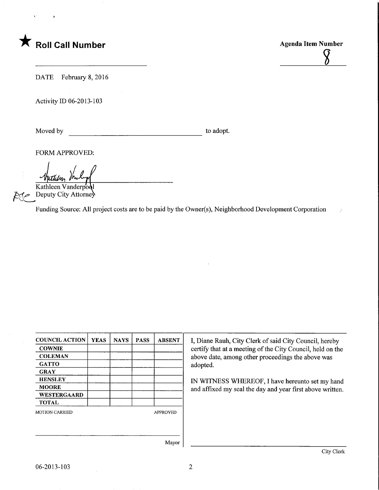

**Agenda Item Number** 

DATE February 8, 2016

Activity ID 06-2013-103

Moved by to adopt.

FORM APPROVED:

Kathleen Vanderpod

Deputy City Attorney

Funding Source: All project costs are to be paid by the Owner(s), Neighborhood Development Corporation

| <b>COUNCIL ACTION</b> | <b>YEAS</b> | <b>NAYS</b> | <b>PASS</b>     | <b>ABSENT</b>   |  |
|-----------------------|-------------|-------------|-----------------|-----------------|--|
| <b>COWNIE</b>         |             |             |                 |                 |  |
| <b>COLEMAN</b>        |             |             |                 |                 |  |
| <b>GATTO</b>          |             |             |                 |                 |  |
| <b>GRAY</b>           |             |             |                 |                 |  |
| <b>HENSLEY</b>        |             |             |                 |                 |  |
| <b>MOORE</b>          |             |             |                 |                 |  |
| WESTERGAARD           |             |             |                 |                 |  |
| <b>TOTAL</b>          |             |             |                 |                 |  |
| <b>MOTION CARRIED</b> |             |             | <b>APPROVED</b> |                 |  |
|                       |             |             |                 |                 |  |
|                       |             |             |                 |                 |  |
|                       |             |             |                 | $M_{\text{av}}$ |  |

I, Diane Rauh, City Clerk of said City Council, hereby certify that at a meeting of the City Council, held on the above date, among other proceedings the above was adopted.

IN WITNESS WHEREOF, I have hereunto set my hand and affixed my seal the day and year first above written.

Mayor

 $\rightarrow$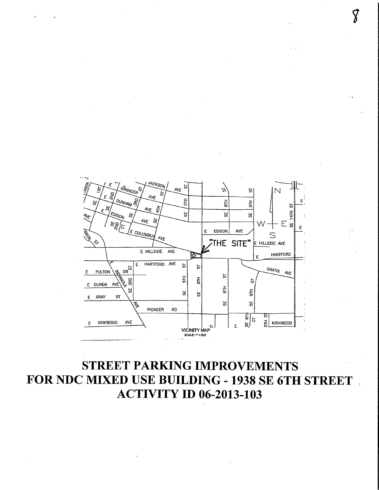

# **STREET PARKING IMPROVEMENTS** FOR NDC MIXED USE BUILDING - 1938 SE 6TH STREET **ACTIVITY ID 06-2013-103**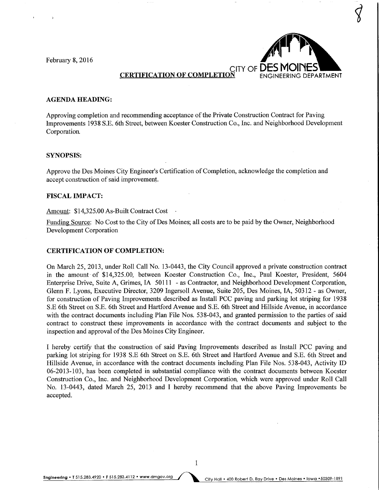February 8, 2016



 $\overline{\mathcal{G}}$ 

### AGENDA HEADING:

Approving completion and recommending acceptance of the Private Construction Contract for Paving Improvements 1938 S.E. 6th Street, between Koester Construction Co., Inc. and Neighborhood Development Corporation.

#### SYNOPSIS:

Approve the Des Moines City Engineer's Certification of Completion, acknowledge the completion and accept construction of said improvement.

#### FISCAL IMPACT:

Amount: \$14,325.00 As-Built Contract Cost

Funding Source: No Cost to the City of Des Moines; all costs are to be paid by the Owner, Neighborhood Development Corporation

#### CERTIFICATION OF COMPLETION:

On March 25, 2013, under Roll Call No. 13-0443, the City Council approved a private construction contract in the amount of \$14,325.00, between Koester Construction Co., Inc., Paul Koester, President, 5604 Enterprise Drive, Suite A, Grimes, IA 50111 - as Contractor, and Neighborhood Development Corporation, Glenn F. Lyons, Executive Director, 3209 Ingersoll Avenue, Suite 205, Des Moines, IA, 50312 - as Owner, for construction of Paving Improvements described as Install PCC paving and parking lot striping for 1938 S.E 6th Street on S.E. 6th Street and Hartford Avenue and S.E. 6th Street and Hillside Avenue, in accordance with the contract documents including Plan File Nos. 538-043, and granted permission to the parties of said contract to construct these improvements in accordance with the contract documents and subject to the inspection and approval of the Des Moines City Engineer.

I hereby certify that the construction of said Paving Improvements described as Install PCC paving and parking lot striping for 1938 S.E 6th Street on S.E. 6th Street and Hartford Avenue and S.E. 6th Street and Hillside Avenue, in accordance with the contract documents including Plan File Nos. 538-043, Activity ID 06-2013-103, has been completed in substantial compliance with the contract documents between Koester Construction Co., Inc. and Neighborhood Development Corporation, which were approved under Roll Call No. 13-0443, dated March 25, 2013 and I hereby recommend that the above Paving Improvements be accepted.

 $\mathbf{1}$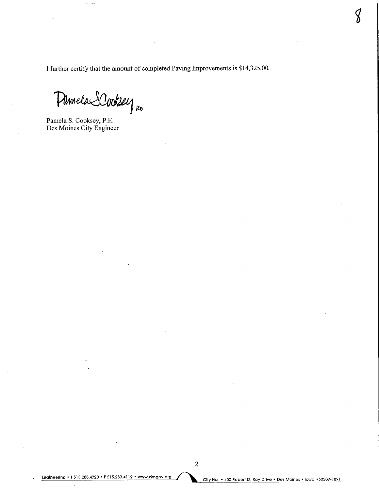I further certify that the amount of completed Paving Improvements is \$14,325.00.

Pamela SCooksey

Pamela S. Cooksey, P.E. Des Moines City Engineer

Engineering • T 515.283.4920 • F 515.283.4112 • www.dmgov.org<br>City Hall • 400 Robert D. Ray Drive • Des Moines • Iowa • 50309-1891

 $\oint$